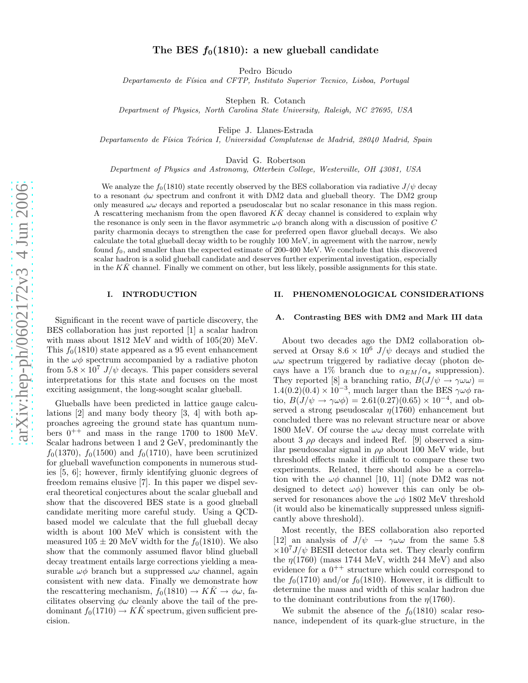# The BES  $f_0(1810)$ : a new glueball candidate

Pedro Bicudo

Departamento de Física and CFTP, Instituto Superior Tecnico, Lisboa, Portugal

Stephen R. Cotanch

Department of Physics, North Carolina State University, Raleigh, NC 27695, USA

Felipe J. Llanes-Estrada

Departamento de Física Teórica I, Universidad Complutense de Madrid, 28040 Madrid, Spain

David G. Robertson

Department of Physics and Astronomy, Otterbein College, Westerville, OH 43081, USA

We analyze the  $f_0(1810)$  state recently observed by the BES collaboration via radiative  $J/\psi$  decay to a resonant  $\phi\omega$  spectrum and confront it with DM2 data and glueball theory. The DM2 group only measured  $\omega\omega$  decays and reported a pseudoscalar but no scalar resonance in this mass region. A rescattering mechanism from the open flavored  $K\bar{K}$  decay channel is considered to explain why the resonance is only seen in the flavor asymmetric  $\omega\phi$  branch along with a discussion of positive C parity charmonia decays to strengthen the case for preferred open flavor glueball decays. We also calculate the total glueball decay width to be roughly 100 MeV, in agreement with the narrow, newly found  $f_0$ , and smaller than the expected estimate of 200-400 MeV. We conclude that this discovered scalar hadron is a solid glueball candidate and deserves further experimental investigation, especially in the  $K\bar{K}$  channel. Finally we comment on other, but less likely, possible assignments for this state.

# I. INTRODUCTION

Significant in the recent wave of particle discovery, the BES collaboration has just reported [1] a scalar hadron with mass about 1812 MeV and width of 105(20) MeV. This  $f_0(1810)$  state appeared as a 95 event enhancement in the  $\omega\phi$  spectrum accompanied by a radiative photon from  $5.8 \times 10^7$  J/ $\psi$  decays. This paper considers several interpretations for this state and focuses on the most exciting assignment, the long-sought scalar glueball.

Glueballs have been predicted in lattice gauge calculations [2] and many body theory [3, 4] with both approaches agreeing the ground state has quantum numbers  $0^{++}$  and mass in the range 1700 to 1800 MeV. Scalar hadrons between 1 and 2 GeV, predominantly the  $f_0(1370)$ ,  $f_0(1500)$  and  $f_0(1710)$ , have been scrutinized for glueball wavefunction components in numerous studies [5, 6]; however, firmly identifying gluonic degrees of freedom remains elusive [7]. In this paper we dispel several theoretical conjectures about the scalar glueball and show that the discovered BES state is a good glueball candidate meriting more careful study. Using a QCDbased model we calculate that the full glueball decay width is about 100 MeV which is consistent with the measured  $105 \pm 20$  MeV width for the  $f_0(1810)$ . We also show that the commonly assumed flavor blind glueball decay treatment entails large corrections yielding a measurable  $\omega\phi$  branch but a suppressed  $\omega\omega$  channel, again consistent with new data. Finally we demonstrate how the rescattering mechanism,  $f_0(1810) \rightarrow K\bar{K} \rightarrow \phi\omega$ , facilitates observing  $\phi\omega$  cleanly above the tail of the predominant  $f_0(1710) \to K\bar{K}$  spectrum, given sufficient precision.

# II. PHENOMENOLOGICAL CONSIDERATIONS

# A. Contrasting BES with DM2 and Mark III data

About two decades ago the DM2 collaboration observed at Orsay  $8.6 \times 10^6$  J/ $\psi$  decays and studied the  $\omega\omega$  spectrum triggered by radiative decay (photon decays have a 1% branch due to  $\alpha_{EM}/\alpha_s$  suppression). They reported [8] a branching ratio,  $B(J/\psi \to \gamma \omega \omega) =$  $1.4(0.2)(0.4) \times 10^{-3}$ , much larger than the BES  $\gamma \omega \phi$  ratio,  $B(J/\psi \to \gamma \omega \phi) = 2.61(0.27)(0.65) \times 10^{-4}$ , and observed a strong pseudoscalar  $\eta(1760)$  enhancement but concluded there was no relevant structure near or above 1800 MeV. Of course the  $\omega\omega$  decay must correlate with about 3  $\rho\rho$  decays and indeed Ref. [9] observed a similar pseudoscalar signal in  $\rho \rho$  about 100 MeV wide, but threshold effects make it difficult to compare these two experiments. Related, there should also be a correlation with the  $\omega\phi$  channel [10, 11] (note DM2 was not designed to detect  $\omega\phi$  however this can only be observed for resonances above the  $\omega\phi$  1802 MeV threshold (it would also be kinematically suppressed unless significantly above threshold).

Most recently, the BES collaboration also reported [12] an analysis of  $J/\psi \to \gamma \omega \omega$  from the same 5.8  $\times 10^7 J/\psi$  BESII detector data set. They clearly confirm the  $\eta(1760)$  (mass 1744 MeV, width 244 MeV) and also evidence for a  $0^{++}$  structure which could correspond to the  $f_0(1710)$  and/or  $f_0(1810)$ . However, it is difficult to determine the mass and width of this scalar hadron due to the dominant contributions from the  $\eta(1760)$ .

We submit the absence of the  $f_0(1810)$  scalar resonance, independent of its quark-glue structure, in the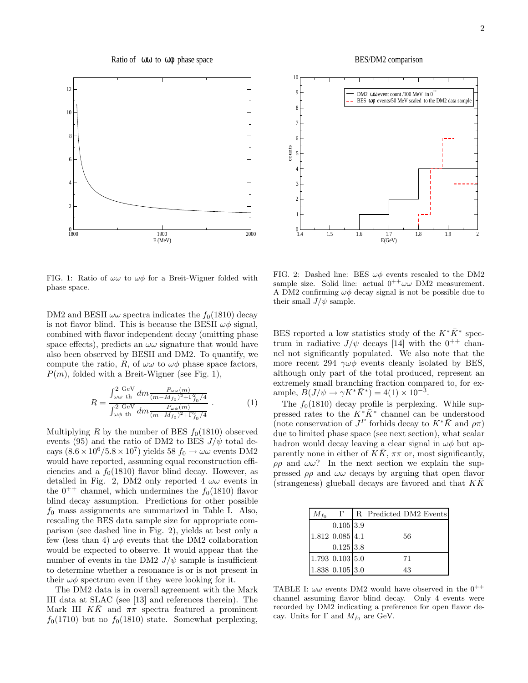Ratio of ωω to ωφ phase space





FIG. 1: Ratio of  $\omega\omega$  to  $\omega\phi$  for a Breit-Wigner folded with phase space.

DM2 and BESII  $\omega\omega$  spectra indicates the  $f_0(1810)$  decay is not flavor blind. This is because the BESII  $\omega\phi$  signal, combined with flavor independent decay (omitting phase space effects), predicts an  $\omega\omega$  signature that would have also been observed by BESII and DM2. To quantify, we compute the ratio, R, of  $\omega\omega$  to  $\omega\phi$  phase space factors,  $P(m)$ , folded with a Breit-Wigner (see Fig. 1),

$$
R = \frac{\int_{\omega\omega}^2 \text{GeV} \, dm \frac{P_{\omega\omega}(m)}{(m - M_{f_0})^2 + \Gamma_{f_0}^2/4}}{\int_{\omega\phi}^2 \text{GeV} \, dm \frac{P_{\omega\phi}(m)}{(m - M_{f_0})^2 + \Gamma_{f_0}^2/4}} \ . \tag{1}
$$

Multiplying R by the number of BES  $f_0(1810)$  observed events (95) and the ratio of DM2 to BES  $J/\psi$  total decays  $(8.6 \times 10^6 / 5.8 \times 10^7)$  yields 58  $f_0 \rightarrow \omega \omega$  events DM2 would have reported, assuming equal reconstruction efficiencies and a  $f_0(1810)$  flavor blind decay. However, as detailed in Fig. 2, DM2 only reported 4  $\omega\omega$  events in the  $0^{++}$  channel, which undermines the  $f_0(1810)$  flavor blind decay assumption. Predictions for other possible  $f_0$  mass assignments are summarized in Table I. Also, rescaling the BES data sample size for appropriate comparison (see dashed line in Fig. 2), yields at best only a few (less than 4)  $\omega\phi$  events that the DM2 collaboration would be expected to observe. It would appear that the number of events in the DM2  $J/\psi$  sample is insufficient to determine whether a resonance is or is not present in their  $\omega\phi$  spectrum even if they were looking for it.

The DM2 data is in overall agreement with the Mark III data at SLAC (see [13] and references therein). The Mark III KK and  $\pi\pi$  spectra featured a prominent  $f_0(1710)$  but no  $f_0(1810)$  state. Somewhat perplexing,

FIG. 2: Dashed line: BES  $\omega\phi$  events rescaled to the DM2 sample size. Solid line: actual  $0^{++}\omega\omega$  DM2 measurement. A DM2 confirming  $\omega\phi$  decay signal is not be possible due to their small  $J/\psi$  sample.

BES reported a low statistics study of the  $K^*\bar{K}^*$  spectrum in radiative  $J/\psi$  decays [14] with the 0<sup>++</sup> channel not significantly populated. We also note that the more recent 294  $\gamma\omega\phi$  events cleanly isolated by BES, although only part of the total produced, represent an extremely small branching fraction compared to, for example,  $\tilde{B}(J/\psi \to \gamma K^* \bar{K}^*) = 4(1) \times 10^{-3}$ .

The  $f_0(1810)$  decay profile is perplexing. While suppressed rates to the  $K^*\bar{K}^*$  channel can be understood (note conservation of  $J^P$  forbids decay to  $K^*\bar{K}$  and  $\rho\pi$ ) due to limited phase space (see next section), what scalar hadron would decay leaving a clear signal in  $\omega\phi$  but apparently none in either of  $K\bar{K}$ ,  $\pi\pi$  or, most significantly,  $\rho \rho$  and  $\omega \omega$ ? In the next section we explain the suppressed  $\rho \rho$  and  $\omega \omega$  decays by arguing that open flavor (strangeness) glueball decays are favored and that  $K\bar{K}$ 

| $M_{f_0}$ |                 | R Predicted DM2 Events |    |  |
|-----------|-----------------|------------------------|----|--|
|           | $0.105$ 3.9     |                        |    |  |
|           | 1.812 0.085 4.1 |                        | 56 |  |
|           | $0.125$ 3.8     |                        |    |  |
|           | 1.793 0.103 5.0 |                        | 71 |  |
|           | 1.838 0.105 3.0 |                        | 43 |  |

TABLE I:  $\omega\omega$  events DM2 would have observed in the  $0^{++}$ channel assuming flavor blind decay. Only 4 events were recorded by DM2 indicating a preference for open flavor decay. Units for  $\Gamma$  and  $M_{f_0}$  are GeV.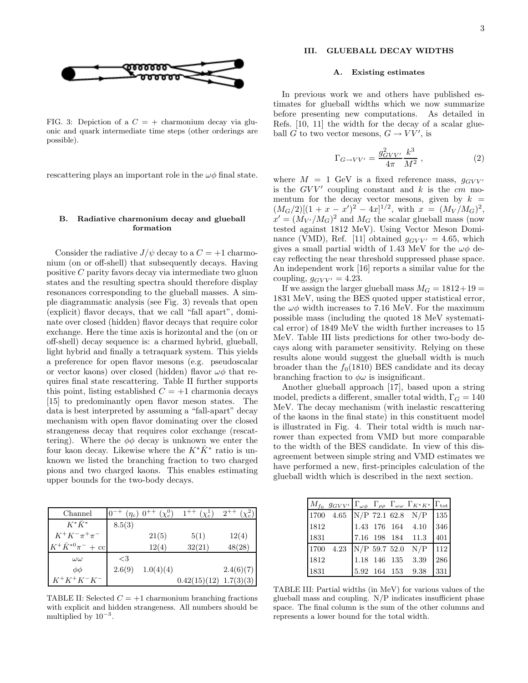

FIG. 3: Depiction of a  $C = +$  charmonium decay via gluonic and quark intermediate time steps (other orderings are possible).

rescattering plays an important role in the  $\omega\phi$  final state.

# B. Radiative charmonium decay and glueball formation

Consider the radiative  $J/\psi$  decay to a  $C = +1$  charmonium (on or off-shell) that subsequently decays. Having positive C parity favors decay via intermediate two gluon states and the resulting spectra should therefore display resonances corresponding to the glueball masses. A simple diagrammatic analysis (see Fig. 3) reveals that open (explicit) flavor decays, that we call "fall apart", dominate over closed (hidden) flavor decays that require color exchange. Here the time axis is horizontal and the (on or off-shell) decay sequence is: a charmed hybrid, glueball, light hybrid and finally a tetraquark system. This yields a preference for open flavor mesons (e.g. pseudoscalar or vector kaons) over closed (hidden) flavor  $\omega\phi$  that requires final state rescattering. Table II further supports this point, listing established  $C = +1$  charmonia decays [15] to predominantly open flavor meson states. The data is best interpreted by assuming a "fall-apart" decay mechanism with open flavor dominating over the closed strangeness decay that requires color exchange (rescattering). Where the  $\phi\phi$  decay is unknown we enter the four kaon decay. Likewise where the  $K^*\bar{K}^*$  ratio is unknown we listed the branching fraction to two charged pions and two charged kaons. This enables estimating upper bounds for the two-body decays.

| Channel                              |        | $(\chi^0_{\rm g})$<br>$(\eta_c) 0^{++}$ | $1^{++}$<br>$(\chi^1_{\sigma})$ | $2^{++}$  |
|--------------------------------------|--------|-----------------------------------------|---------------------------------|-----------|
| $K^*\bar{K}^*$                       | 8.5(3) |                                         |                                 |           |
| $K^+K^-\pi^+\pi^-$                   |        | 21(5)                                   | 5(1)                            | 12(4)     |
| $K^+ \bar{K}^{*0} \pi^- + \text{cc}$ |        | 12(4)                                   | 32(21)                          | 48(28)    |
| $\omega\omega$                       | ${<}3$ |                                         |                                 |           |
| $\phi\phi$                           | 2.6(9) | 1.0(4)(4)                               |                                 | 2.4(6)(7) |
| $K^+K^+K^-K^-$                       |        |                                         | 0.42(15)(12)                    | 1.7(3)(3) |

TABLE II: Selected  $C = +1$  charmonium branching fractions with explicit and hidden strangeness. All numbers should be multiplied by  $10^{-3}$ .

# III. GLUEBALL DECAY WIDTHS

#### A. Existing estimates

In previous work we and others have published estimates for glueball widths which we now summarize before presenting new computations. As detailed in Refs. [10, 11] the width for the decay of a scalar glueball G to two vector mesons,  $G \to VV'$ , is

$$
\Gamma_{G \to VV'} = \frac{g_{GVV'}^2}{4\pi} \frac{k^3}{M^2} \,, \tag{2}
$$

where  $M = 1$  GeV is a fixed reference mass,  $q_{GVV'}$ is the  $GVV'$  coupling constant and  $k$  is the  $cm$  momentum for the decay vector mesons, given by  $k =$  $(M_G/2)[(1 + x - x')^2 - 4x]^{1/2}$ , with  $x = (M_V/M_G)^2$ ,  $x' = (M_{V'}/M_G)^2$  and  $M_G$  the scalar glueball mass (now tested against 1812 MeV). Using Vector Meson Dominance (VMD), Ref. [11] obtained  $q_{GVV'} = 4.65$ , which gives a small partial width of 1.43 MeV for the  $\omega\phi$  decay reflecting the near threshold suppressed phase space. An independent work [16] reports a similar value for the coupling,  $g_{GVV'} = 4.23$ .

If we assign the larger glueball mass  $M_G = 1812+19 =$ 1831 MeV, using the BES quoted upper statistical error, the  $\omega\phi$  width increases to 7.16 MeV. For the maximum possible mass (including the quoted 18 MeV systematical error) of 1849 MeV the width further increases to 15 MeV. Table III lists predictions for other two-body decays along with parameter sensitivity. Relying on these results alone would suggest the glueball width is much broader than the  $f_0(1810)$  BES candidate and its decay branching fraction to  $\phi\omega$  is insignificant.

Another glueball approach [17], based upon a string model, predicts a different, smaller total width,  $\Gamma_G = 140$ MeV. The decay mechanism (with inelastic rescattering of the kaons in the final state) in this constituent model is illustrated in Fig. 4. Their total width is much narrower than expected from VMD but more comparable to the width of the BES candidate. In view of this disagreement between simple string and VMD estimates we have performed a new, first-principles calculation of the glueball width which is described in the next section.

| $M_{f_0}$ $g_{GVV'}$ $\Gamma_{\omega\phi}$ $\Gamma_{\rho\rho}$ $\Gamma_{\omega\omega}$ $\Gamma_{K^*K^*}$ $\Gamma_{\text{tot}}$ |  |                                       |     |
|--------------------------------------------------------------------------------------------------------------------------------|--|---------------------------------------|-----|
| 1700 4.65 N/P 72.1 62.8 N/P 135                                                                                                |  |                                       |     |
| 1812                                                                                                                           |  | 1.43 176 164 4.10 346                 |     |
| 1831                                                                                                                           |  | 7.16 198 184 11.3                     | 401 |
| 1700 4.23                                                                                                                      |  | $N/P$ 59.7 52.0 $N/P$ 112             |     |
| 1812                                                                                                                           |  | 1.18 146 135 3.39                     | 286 |
| 1831                                                                                                                           |  | $5.92\  \  164\  \  153\quad \  9.38$ | 331 |

TABLE III: Partial widths (in MeV) for various values of the glueball mass and coupling. N/P indicates insufficient phase space. The final column is the sum of the other columns and represents a lower bound for the total width.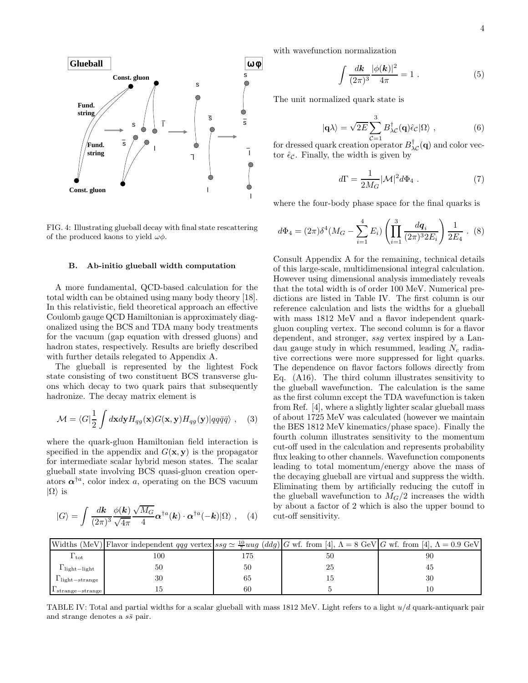

FIG. 4: Illustrating glueball decay with final state rescattering of the produced kaons to yield  $\omega\phi$ .

### B. Ab-initio glueball width computation

A more fundamental, QCD-based calculation for the total width can be obtained using many body theory [18]. In this relativistic, field theoretical approach an effective Coulomb gauge QCD Hamiltonian is approximately diagonalized using the BCS and TDA many body treatments for the vacuum (gap equation with dressed gluons) and hadron states, respectively. Results are briefly described with further details relegated to Appendix A.

The glueball is represented by the lightest Fock state consisting of two constituent BCS transverse gluons which decay to two quark pairs that subsequently hadronize. The decay matrix element is

$$
\mathcal{M} = \langle G | \frac{1}{2} \int d\mathbf{x} d\mathbf{y} H_{qg}(\mathbf{x}) G(\mathbf{x}, \mathbf{y}) H_{qg}(\mathbf{y}) | q q \bar{q} \bar{q} \rangle , \quad (3)
$$

where the quark-gluon Hamiltonian field interaction is specified in the appendix and  $G(\mathbf{x}, \mathbf{y})$  is the propagator for intermediate scalar hybrid meson states. The scalar glueball state involving BCS quasi-gluon creation operators  $\alpha^{\dagger a}$ , color index a, operating on the BCS vacuum  $|\Omega\rangle$  is

$$
|G\rangle = \int \frac{d\mathbf{k}}{(2\pi)^3} \frac{\phi(\mathbf{k})}{\sqrt{4\pi}} \frac{\sqrt{M_G}}{4} \alpha^{\dagger a}(\mathbf{k}) \cdot \alpha^{\dagger a}(-\mathbf{k}) |\Omega\rangle \ , \quad (4)
$$

with wavefunction normalization

$$
\int \frac{d\mathbf{k}}{(2\pi)^3} \frac{|\phi(\mathbf{k})|^2}{4\pi} = 1.
$$
\n(5)

The unit normalized quark state is

$$
|\mathbf{q}\lambda\rangle = \sqrt{2E} \sum_{\mathcal{C}=1}^{3} B_{\lambda\mathcal{C}}^{\dagger}(\mathbf{q}) \hat{\epsilon}_{\mathcal{C}} |\Omega\rangle , \qquad (6)
$$

for dressed quark creation operator  $B_{\lambda\mathcal{C}}^{\dagger}(\mathbf{q})$  and color vector  $\hat{\epsilon}_{\mathcal{C}}$ . Finally, the width is given by

$$
d\Gamma = \frac{1}{2M_G} |\mathcal{M}|^2 d\Phi_4 . \tag{7}
$$

where the four-body phase space for the final quarks is

$$
d\Phi_4 = (2\pi)\delta^4(M_G - \sum_{i=1}^4 E_i) \left( \prod_{i=1}^3 \frac{dq_i}{(2\pi)^3 2E_i} \right) \frac{1}{2E_4} .
$$
 (8)

Consult Appendix A for the remaining, technical details of this large-scale, multidimensional integral calculation. However using dimensional analysis immediately reveals that the total width is of order 100 MeV. Numerical predictions are listed in Table IV. The first column is our reference calculation and lists the widths for a glueball with mass  $1812 \text{ MeV}$  and a flavor independent quarkgluon coupling vertex. The second column is for a flavor dependent, and stronger, ssg vertex inspired by a Landau gauge study in which resummed, leading  $N_c$  radiative corrections were more suppressed for light quarks. The dependence on flavor factors follows directly from Eq. (A16). The third column illustrates sensitivity to the glueball wavefunction. The calculation is the same as the first column except the TDA wavefunction is taken from Ref. [4], where a slightly lighter scalar glueball mass of about 1725 MeV was calculated (however we maintain the BES 1812 MeV kinematics/phase space). Finally the fourth column illustrates sensitivity to the momentum cut-off used in the calculation and represents probability flux leaking to other channels. Wavefunction components leading to total momentum/energy above the mass of the decaying glueball are virtual and suppress the width. Eliminating them by artificially reducing the cutoff in the glueball wavefunction to  $M_G/2$  increases the width by about a factor of 2 which is also the upper bound to cut-off sensitivity.

|                                 | Widths (MeV) Flavor independent qqg vertex $ sg \simeq \frac{10}{7} u u g (ddg)  G$ wf. from [4], $\Lambda = 8$ GeV G wf. from [4], $\Lambda = 0.9$ GeV |     |    |    |
|---------------------------------|---------------------------------------------------------------------------------------------------------------------------------------------------------|-----|----|----|
| $\Gamma_{\rm tot}$              | 100                                                                                                                                                     | 175 |    | 90 |
| $l$ light-light                 | 50                                                                                                                                                      | 50  | 25 |    |
| $\Gamma_{\text{light-strange}}$ | 30                                                                                                                                                      | 65  |    | 30 |
| $I$ strange - strange           |                                                                                                                                                         | 60  |    |    |

TABLE IV: Total and partial widths for a scalar glueball with mass  $1812 \text{ MeV}$ . Light refers to a light  $u/d$  quark-antiquark pair and strange denotes a  $s\bar{s}$  pair.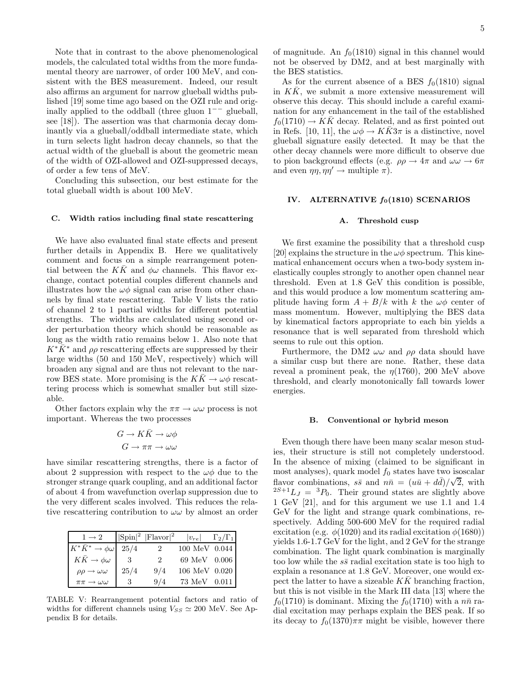Note that in contrast to the above phenomenological models, the calculated total widths from the more fundamental theory are narrower, of order 100 MeV, and consistent with the BES measurement. Indeed, our result also affirms an argument for narrow glueball widths published [19] some time ago based on the OZI rule and originally applied to the oddball (three gluon  $1^{−}$  glueball, see [18]). The assertion was that charmonia decay dominantly via a glueball/oddball intermediate state, which in turn selects light hadron decay channels, so that the actual width of the glueball is about the geometric mean of the width of OZI-allowed and OZI-suppressed decays, of order a few tens of MeV.

Concluding this subsection, our best estimate for the total glueball width is about 100 MeV.

### C. Width ratios including final state rescattering

We have also evaluated final state effects and present further details in Appendix B. Here we qualitatively comment and focus on a simple rearrangement potential between the KK and  $\phi\omega$  channels. This flavor exchange, contact potential couples different channels and illustrates how the  $\omega\phi$  signal can arise from other channels by final state rescattering. Table V lists the ratio of channel 2 to 1 partial widths for different potential strengths. The widths are calculated using second order perturbation theory which should be reasonable as long as the width ratio remains below 1. Also note that  $K^*K^*$  and  $\rho\rho$  rescattering effects are suppressed by their large widths (50 and 150 MeV, respectively) which will broaden any signal and are thus not relevant to the narrow BES state. More promising is the  $K\bar{K} \to \omega \phi$  rescattering process which is somewhat smaller but still sizeable.

Other factors explain why the  $\pi\pi \to \omega\omega$  process is not important. Whereas the two processes

$$
G \to K\bar{K} \to \omega\phi
$$

$$
G \to \pi\pi \to \omega\omega
$$

have similar rescattering strengths, there is a factor of about 2 suppression with respect to the  $\omega\phi$  due to the stronger strange quark coupling, and an additional factor of about 4 from wavefunction overlap suppression due to the very different scales involved. This reduces the relative rescattering contribution to  $\omega\omega$  by almost an order

| $1 \rightarrow 2$                   |      | $ \text{Spin} ^2$  Flavor  <sup>2</sup> | $ v_{re} $    | $\Gamma_2/\Gamma_1$ |
|-------------------------------------|------|-----------------------------------------|---------------|---------------------|
| $K^*\bar K^*\to\phi\omega$          | 25/4 | $2^{\circ}$                             | 100 MeV 0.044 |                     |
| $K\bar K\to\phi\omega$              |      | 2.                                      | 69 MeV 0.006  |                     |
| $\rho\rho \rightarrow \omega\omega$ | 25/4 | 9/4                                     | 106 MeV 0.020 |                     |
| $\pi\pi \rightarrow \omega\omega$   |      | 9/4                                     | 73 MeV 0.011  |                     |

TABLE V: Rearrangement potential factors and ratio of widths for different channels using  $V_{SS} \simeq 200$  MeV. See Appendix B for details.

of magnitude. An  $f_0(1810)$  signal in this channel would not be observed by DM2, and at best marginally with the BES statistics.

As for the current absence of a BES  $f_0(1810)$  signal in  $K\bar{K}$ , we submit a more extensive measurement will observe this decay. This should include a careful examination for any enhancement in the tail of the established  $f_0(1710) \rightarrow K\overline{K}$  decay. Related, and as first pointed out in Refs. [10, 11], the  $\omega \phi \rightarrow K K 3 \pi$  is a distinctive, novel glueball signature easily detected. It may be that the other decay channels were more difficult to observe due to pion background effects (e.g.  $\rho \rho \rightarrow 4\pi$  and  $\omega \omega \rightarrow 6\pi$ and even  $\eta \eta, \eta \eta' \to \text{multiple } \pi$ ).

# IV. ALTERNATIVE  $f_0(1810)$  SCENARIOS

#### A. Threshold cusp

We first examine the possibility that a threshold cusp [20] explains the structure in the  $\omega\phi$  spectrum. This kinematical enhancement occurs when a two-body system inelastically couples strongly to another open channel near threshold. Even at 1.8 GeV this condition is possible, and this would produce a low momentum scattering amplitude having form  $A + B/k$  with k the  $\omega\phi$  center of mass momentum. However, multiplying the BES data by kinematical factors appropriate to each bin yields a resonance that is well separated from threshold which seems to rule out this option.

Furthermore, the DM2  $\omega\omega$  and  $\rho\rho$  data should have a similar cusp but there are none. Rather, these data reveal a prominent peak, the  $\eta(1760)$ , 200 MeV above threshold, and clearly monotonically fall towards lower energies.

#### B. Conventional or hybrid meson

Even though there have been many scalar meson studies, their structure is still not completely understood. In the absence of mixing (claimed to be significant in most analyses), quark model  $f_0$  states have two isoscalar flavor combinations,  $s\bar{s}$  and  $n\bar{n} = (u\bar{u} + d\bar{d})/\sqrt{2}$ , with  ${}^{2S+1}L_J = {}^{3}P_0$ . Their ground states are slightly above 1 GeV [21], and for this argument we use 1.1 and 1.4 GeV for the light and strange quark combinations, respectively. Adding 500-600 MeV for the required radial excitation (e.g.  $\phi(1020)$  and its radial excitation  $\phi(1680)$ ) yields 1.6-1.7 GeV for the light, and 2 GeV for the strange combination. The light quark combination is marginally too low while the  $s\bar{s}$  radial excitation state is too high to explain a resonance at 1.8 GeV. Moreover, one would expect the latter to have a sizeable  $KK$  branching fraction, but this is not visible in the Mark III data [13] where the  $f_0(1710)$  is dominant. Mixing the  $f_0(1710)$  with a  $n\bar{n}$  radial excitation may perhaps explain the BES peak. If so its decay to  $f_0(1370)\pi\pi$  might be visible, however there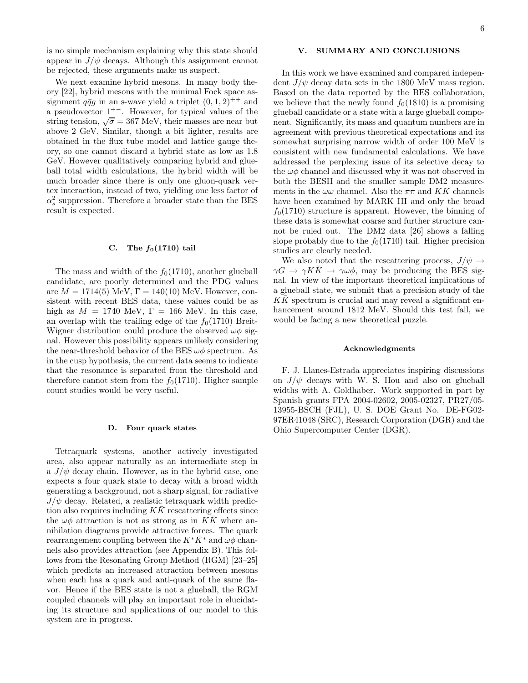is no simple mechanism explaining why this state should appear in  $J/\psi$  decays. Although this assignment cannot be rejected, these arguments make us suspect.

We next examine hybrid mesons. In many body theory [22], hybrid mesons with the minimal Fock space assignment  $q\bar{q}q$  in an s-wave yield a triplet  $(0, 1, 2)^{++}$  and a pseudovector  $1^{+-}$ . However, for typical values of the string tension,  $\sqrt{\sigma} = 367$  MeV, their masses are near but above 2 GeV. Similar, though a bit lighter, results are obtained in the flux tube model and lattice gauge theory, so one cannot discard a hybrid state as low as 1.8 GeV. However qualitatively comparing hybrid and glueball total width calculations, the hybrid width will be much broader since there is only one gluon-quark vertex interaction, instead of two, yielding one less factor of  $\alpha_s^2$  suppression. Therefore a broader state than the BES result is expected.

### C. The  $f_0(1710)$  tail

The mass and width of the  $f_0(1710)$ , another glueball candidate, are poorly determined and the PDG values are  $M = 1714(5)$  MeV,  $\Gamma = 140(10)$  MeV. However, consistent with recent BES data, these values could be as high as  $M = 1740$  MeV,  $\Gamma = 166$  MeV. In this case, an overlap with the trailing edge of the  $f_0(1710)$  Breit-Wigner distribution could produce the observed  $\omega\phi$  signal. However this possibility appears unlikely considering the near-threshold behavior of the BES  $\omega\phi$  spectrum. As in the cusp hypothesis, the current data seems to indicate that the resonance is separated from the threshold and therefore cannot stem from the  $f_0(1710)$ . Higher sample count studies would be very useful.

#### D. Four quark states

Tetraquark systems, another actively investigated area, also appear naturally as an intermediate step in a  $J/\psi$  decay chain. However, as in the hybrid case, one expects a four quark state to decay with a broad width generating a background, not a sharp signal, for radiative  $J/\psi$  decay. Related, a realistic tetraquark width prediction also requires including  $K\bar{K}$  rescattering effects since the  $\omega\phi$  attraction is not as strong as in KK where annihilation diagrams provide attractive forces. The quark rearrangement coupling between the  $K^*\bar{K}^*$  and  $\omega\phi$  channels also provides attraction (see Appendix B). This follows from the Resonating Group Method (RGM) [23–25] which predicts an increased attraction between mesons when each has a quark and anti-quark of the same flavor. Hence if the BES state is not a glueball, the RGM coupled channels will play an important role in elucidating its structure and applications of our model to this system are in progress.

# V. SUMMARY AND CONCLUSIONS

In this work we have examined and compared independent  $J/\psi$  decay data sets in the 1800 MeV mass region. Based on the data reported by the BES collaboration, we believe that the newly found  $f_0(1810)$  is a promising glueball candidate or a state with a large glueball component. Significantly, its mass and quantum numbers are in agreement with previous theoretical expectations and its somewhat surprising narrow width of order 100 MeV is consistent with new fundamental calculations. We have addressed the perplexing issue of its selective decay to the  $\omega\phi$  channel and discussed why it was not observed in both the BESII and the smaller sample DM2 measurements in the  $\omega\omega$  channel. Also the  $\pi\pi$  and KK channels have been examined by MARK III and only the broad  $f_0(1710)$  structure is apparent. However, the binning of these data is somewhat coarse and further structure cannot be ruled out. The DM2 data [26] shows a falling slope probably due to the  $f_0(1710)$  tail. Higher precision studies are clearly needed.

We also noted that the rescattering process,  $J/\psi \rightarrow$  $\gamma G \to \gamma K K \to \gamma \omega \phi$ , may be producing the BES signal. In view of the important theoretical implications of a glueball state, we submit that a precision study of the  $KK$  spectrum is crucial and may reveal a significant enhancement around 1812 MeV. Should this test fail, we would be facing a new theoretical puzzle.

### Acknowledgments

F. J. Llanes-Estrada appreciates inspiring discussions on  $J/\psi$  decays with W. S. Hou and also on glueball widths with A. Goldhaber. Work supported in part by Spanish grants FPA 2004-02602, 2005-02327, PR27/05- 13955-BSCH (FJL), U. S. DOE Grant No. DE-FG02- 97ER41048 (SRC), Research Corporation (DGR) and the Ohio Supercomputer Center (DGR).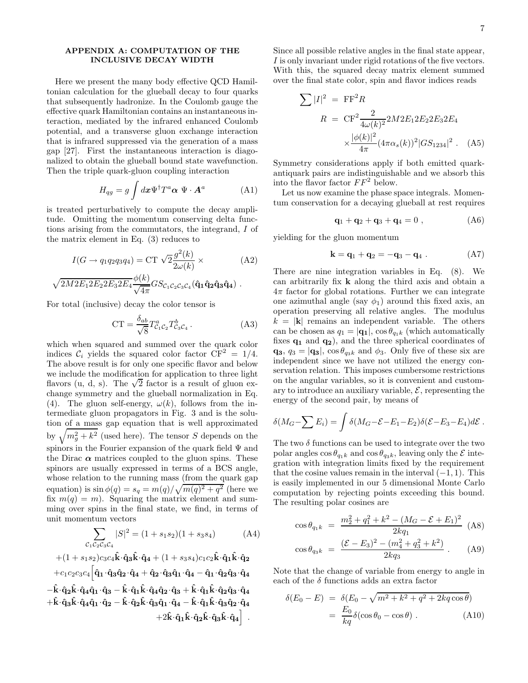# APPENDIX A: COMPUTATION OF THE INCLUSIVE DECAY WIDTH

Here we present the many body effective QCD Hamiltonian calculation for the glueball decay to four quarks that subsequently hadronize. In the Coulomb gauge the effective quark Hamiltonian contains an instantaneous interaction, mediated by the infrared enhanced Coulomb potential, and a transverse gluon exchange interaction that is infrared suppressed via the generation of a mass gap [27]. First the instantaneous interaction is diagonalized to obtain the glueball bound state wavefunction. Then the triple quark-gluon coupling interaction

$$
H_{qg} = g \int d\boldsymbol{x} \Psi^{\dagger} T^a \boldsymbol{\alpha} \ \Psi \cdot \boldsymbol{A}^a \tag{A1}
$$

is treated perturbatively to compute the decay amplitude. Omitting the momentum conserving delta functions arising from the commutators, the integrand, I of the matrix element in Eq. (3) reduces to

$$
I(G \to q_1 q_2 q_3 q_4) = \text{CT } \sqrt{2} \frac{g^2(k)}{2\omega(k)} \times \tag{A2}
$$

$$
\sqrt{2M2E_12E_22E_32E_4}\frac{\phi(k)}{\sqrt{4\pi}}GSc_1c_2c_3c_4(\hat{\mathbf{q}}_1\hat{\mathbf{q}}_2\hat{\mathbf{q}}_3\hat{\mathbf{q}}_4).
$$

For total (inclusive) decay the color tensor is

$$
CT = \frac{\delta_{ab}}{\sqrt{8}} T^a_{\mathcal{C}_1 \mathcal{C}_2} T^b_{\mathcal{C}_3 \mathcal{C}_4}.
$$
 (A3)

which when squared and summed over the quark color indices  $\mathcal{C}_i$  yields the squared color factor  $\overline{\text{CF}}^2 = 1/4$ . The above result is for only one specific flavor and below we include the modification for application to three light flavors (u, d, s). The  $\sqrt{2}$  factor is a result of gluon exchange symmetry and the glueball normalization in Eq. (4). The gluon self-energy,  $\omega(k)$ , follows from the intermediate gluon propagators in Fig. 3 and is the solution of a mass gap equation that is well approximated by  $\sqrt{m_g^2 + k^2}$  (used here). The tensor S depends on the spinors in the Fourier expansion of the quark field  $\Psi$  and the Dirac  $\alpha$  matrices coupled to the gluon spins. These spinors are usually expressed in terms of a BCS angle, whose relation to the running mass (from the quark gap equation) is  $\sin \phi(q) = s_q = m(q)/\sqrt{m(q)^2 + q^2}$  (here we fix  $m(q) = m$ ). Squaring the matrix element and summing over spins in the final state, we find, in terms of unit momentum vectors

$$
\sum_{\mathcal{C}_1\mathcal{C}_2\mathcal{C}_3\mathcal{C}_4} |S|^2 = (1 + s_1 s_2)(1 + s_3 s_4)
$$
 (A4)  
+ (1 + s\_1 s\_2)c\_3 c\_4 \hat{\mathbf{k}} \cdot \hat{\mathbf{q}}\_3 \hat{\mathbf{k}} \cdot \hat{\mathbf{q}}\_4 + (1 + s\_3 s\_4)c\_1 c\_2 \hat{\mathbf{k}} \cdot \hat{\mathbf{q}}\_1 \hat{\mathbf{k}} \cdot \hat{\mathbf{q}}\_2

 $+c_1c_2c_3c_4\Big[\hat{\mathbf{q}}_1\!\cdot\!\hat{\mathbf{q}}_3\hat{\mathbf{q}}_2\!\cdot\!\hat{\mathbf{q}}_4 + \hat{\mathbf{q}}_2\!\cdot\!\hat{\mathbf{q}}_3\hat{\mathbf{q}}_1\!\cdot\!\hat{\mathbf{q}}_4 - \hat{\mathbf{q}}_1\!\cdot\!\hat{\mathbf{q}}_2\hat{\mathbf{q}}_3\!\cdot\!\hat{\mathbf{q}}_4$  $-\hat{k}\cdot\hat{q}_2\hat{k}\cdot\hat{q}_4\hat{q}_1\cdot\hat{q}_3 - \hat{k}\cdot\hat{q}_1\hat{k}\cdot\hat{q}_4\hat{q}_2\cdot\hat{q}_3 + \hat{k}\cdot\hat{q}_1\hat{k}\cdot\hat{q}_2\hat{q}_3\cdot\hat{q}_4$  $+{\hat {\bf k}}\!\cdot\!{\hat {\bf q}}_3{\hat {\bf k}}\!\cdot\!{\hat {\bf q}}_4{\hat {\bf q}}_1\!\cdot\!{\hat {\bf q}}_2-{\hat {\bf k}}\!\cdot\!{\hat {\bf q}}_3{\hat {\bf q}}_1\!\cdot\!{\hat {\bf q}}_4-{\hat {\bf k}}\!\cdot\!{\hat {\bf q}}_1{\hat {\bf k}}\!\cdot\!{\hat {\bf q}}_3{\hat {\bf q}}_2\!\cdot\!{\hat {\bf q}}_4$  $+2\hat{\mathbf{k}}\!\cdot\!\hat{\mathbf{q}}_1\hat{\mathbf{k}}\!\cdot\!\hat{\mathbf{q}}_2\hat{\mathbf{k}}\!\cdot\!\hat{\mathbf{q}}_3\hat{\mathbf{k}}\!\cdot\!\hat{\mathbf{q}}_4\bigg] \; .$  Since all possible relative angles in the final state appear, I is only invariant under rigid rotations of the five vectors. With this, the squared decay matrix element summed over the final state color, spin and flavor indices reads

$$
\sum |I|^2 = \mathbf{F} \mathbf{F}^2 R
$$
  
\n
$$
R = \mathbf{C} \mathbf{F}^2 \frac{2}{4\omega(k)^2} 2M 2E_1 2E_2 2E_3 2E_4
$$
  
\n
$$
\times \frac{|\phi(k)|^2}{4\pi} (4\pi \alpha_s(k))^2 |GS_{1234}|^2 .
$$
 (A5)

Symmetry considerations apply if both emitted quarkantiquark pairs are indistinguishable and we absorb this into the flavor factor  $FF^2$  below.

Let us now examine the phase space integrals. Momentum conservation for a decaying glueball at rest requires

$$
{\bf q}_1 + {\bf q}_2 + {\bf q}_3 + {\bf q}_4 = 0 , \qquad (A6)
$$

yielding for the gluon momentum

$$
k = q_1 + q_2 = -q_3 - q_4 . \qquad (A7)
$$

There are nine integration variables in Eq. (8). We can arbitrarily fix k along the third axis and obtain a  $4\pi$  factor for global rotations. Further we can integrate one azimuthal angle (say  $\phi_1$ ) around this fixed axis, an operation preserving all relative angles. The modulus  $k = |\mathbf{k}|$  remains an independent variable. The others can be chosen as  $q_1 = |\mathbf{q_1}|$ ,  $\cos \theta_{q_1k}$  (which automatically fixes  $\mathbf{q}_1$  and  $\mathbf{q}_2$ ), and the three spherical coordinates of  $\mathbf{q}_3$ ,  $q_3 = |\mathbf{q}_3|$ ,  $\cos \theta_{q_3k}$  and  $\phi_3$ . Only five of these six are independent since we have not utilized the energy conservation relation. This imposes cumbersome restrictions on the angular variables, so it is convenient and customary to introduce an auxiliary variable,  $\mathcal{E}$ , representing the energy of the second pair, by means of

$$
\delta(M_G-\sum E_i)=\int \delta(M_G-\mathcal{E}-E_1-E_2)\delta(\mathcal{E}-E_3-E_4)d\mathcal{E}.
$$

The two  $\delta$  functions can be used to integrate over the two polar angles  $\cos \theta_{q_1k}$  and  $\cos \theta_{q_3k}$ , leaving only the  $\mathcal E$  integration with integration limits fixed by the requirement that the cosine values remain in the interval  $(-1, 1)$ . This is easily implemented in our 5 dimensional Monte Carlo computation by rejecting points exceeding this bound. The resulting polar cosines are

$$
\cos \theta_{q_1 k} = \frac{m_2^2 + q_1^2 + k^2 - (M_G - \mathcal{E} + E_1)^2}{2kq_1} \tag{A8}
$$

$$
\cos \theta_{q_3k} = \frac{(\mathcal{E} - E_3)^2 - (m_4^2 + q_3^2 + k^2)}{2kq_3} \,. \tag{A9}
$$

Note that the change of variable from energy to angle in each of the  $\delta$  functions adds an extra factor

$$
\delta(E_0 - E) = \delta(E_0 - \sqrt{m^2 + k^2 + q^2 + 2kq\cos\theta})
$$

$$
= \frac{E_0}{kq} \delta(\cos\theta_0 - \cos\theta). \tag{A10}
$$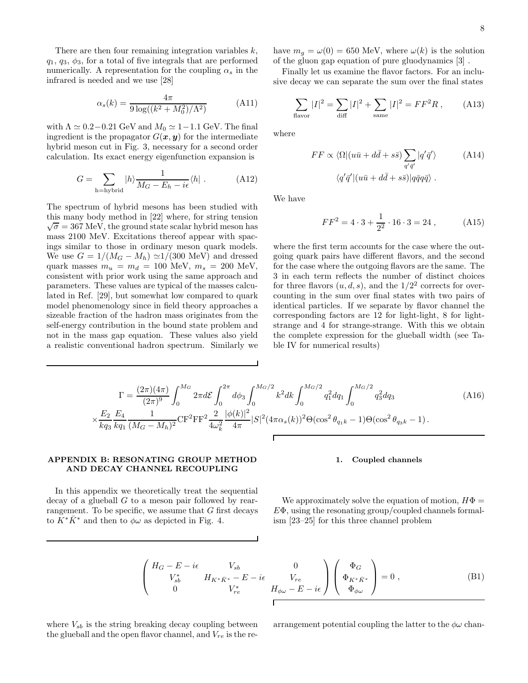There are then four remaining integration variables  $k$ ,  $q_1, q_3, \phi_3$ , for a total of five integrals that are performed numerically. A representation for the coupling  $\alpha_s$  in the infrared is needed and we use [28]

$$
\alpha_s(k) = \frac{4\pi}{9\log((k^2 + M_0^2)/\Lambda^2)}\tag{A11}
$$

with  $\Lambda \simeq 0.2-0.21$  GeV and  $M_0 \simeq 1-1.1$  GeV. The final ingredient is the propagator  $G(x, y)$  for the intermediate hybrid meson cut in Fig. 3, necessary for a second order calculation. Its exact energy eigenfunction expansion is

$$
G = \sum_{\text{h=hybrid}} |h\rangle \frac{1}{M_G - E_h - i\epsilon} \langle h| \ . \tag{A12}
$$

The spectrum of hybrid mesons has been studied with this many body method in [22] where, for string tension  $\sqrt{\sigma} = 367 \text{ MeV}$ , the ground state scalar hybrid meson has mass 2100 MeV. Excitations thereof appear with spacings similar to those in ordinary meson quark models. We use  $G = 1/(M_G - M_h) \simeq 1/(300 \text{ MeV})$  and dressed quark masses  $m_u = m_d = 100$  MeV,  $m_s = 200$  MeV, consistent with prior work using the same approach and parameters. These values are typical of the masses calculated in Ref. [29], but somewhat low compared to quark model phenomenology since in field theory approaches a sizeable fraction of the hadron mass originates from the self-energy contribution in the bound state problem and not in the mass gap equation. These values also yield a realistic conventional hadron spectrum. Similarly we have  $m_g = \omega(0) = 650$  MeV, where  $\omega(k)$  is the solution of the gluon gap equation of pure gluodynamics [3] .

Finally let us examine the flavor factors. For an inclusive decay we can separate the sum over the final states

$$
\sum_{\text{flavor}} |I|^2 = \sum_{\text{diff}} |I|^2 + \sum_{\text{same}} |I|^2 = FF^2 R \,, \tag{A13}
$$

where

$$
FF \propto \langle \Omega | (u\bar{u} + d\bar{d} + s\bar{s}) \sum_{q'\bar{q}'} |q'\bar{q}'\rangle \tag{A14}
$$

$$
\langle q'\bar{q}' | (u\bar{u} + d\bar{d} + s\bar{s}) | q\bar{q}q\bar{q}\rangle .
$$

We have

$$
FF^2 = 4 \cdot 3 + \frac{1}{2^2} \cdot 16 \cdot 3 = 24 , \qquad (A15)
$$

where the first term accounts for the case where the outgoing quark pairs have different flavors, and the second for the case where the outgoing flavors are the same. The 3 in each term reflects the number of distinct choices for three flavors  $(u, d, s)$ , and the  $1/2<sup>2</sup>$  corrects for overcounting in the sum over final states with two pairs of identical particles. If we separate by flavor channel the corresponding factors are 12 for light-light, 8 for lightstrange and 4 for strange-strange. With this we obtain the complete expression for the glueball width (see Table IV for numerical results)

$$
\Gamma = \frac{(2\pi)(4\pi)}{(2\pi)^9} \int_0^{M_G} 2\pi d\mathcal{E} \int_0^{2\pi} d\phi_3 \int_0^{M_G/2} k^2 dk \int_0^{M_G/2} q_1^2 dq_1 \int_0^{M_G/2} q_3^2 dq_3
$$
\n
$$
\times \frac{E_2}{kq_3} \frac{E_4}{kq_1} \frac{1}{(M_G - M_h)^2} \text{CF}^2 \text{FF}^2 \frac{2}{4\omega_k^2} \frac{|\phi(k)|^2}{4\pi} |S|^2 (4\pi \alpha_s(k))^2 \Theta(\cos^2 \theta_{q_1k} - 1) \Theta(\cos^2 \theta_{q_3k} - 1) \,.
$$
\n(A16)

### 1. Coupled channels

In this appendix we theoretically treat the sequential decay of a glueball G to a meson pair followed by rearrangement. To be specific, we assume that  $G$  first decays to  $K^*\bar{K}^*$  and then to  $\phi\omega$  as depicted in Fig. 4.

APPENDIX B: RESONATING GROUP METHOD AND DECAY CHANNEL RECOUPLING

> We approximately solve the equation of motion,  $H\Phi =$  $E\Phi$ , using the resonating group/coupled channels formalism [23–25] for this three channel problem

$$
\begin{pmatrix}\nH_G - E - i\epsilon & V_{sb} & 0 \\
V_{sb}^* & H_{K^* \bar{K}^*} - E - i\epsilon & V_{re} \\
0 & V_{re}^* & H_{\phi\omega} - E - i\epsilon\n\end{pmatrix}\n\begin{pmatrix}\n\Phi_G \\
\Phi_{K^* \bar{K}^*} \\
\Phi_{\phi\omega}\n\end{pmatrix} = 0 ,
$$
\n(B1)

where  $V_{sb}$  is the string breaking decay coupling between the glueball and the open flavor channel, and  $V_{re}$  is the rearrangement potential coupling the latter to the  $\phi\omega$  chan-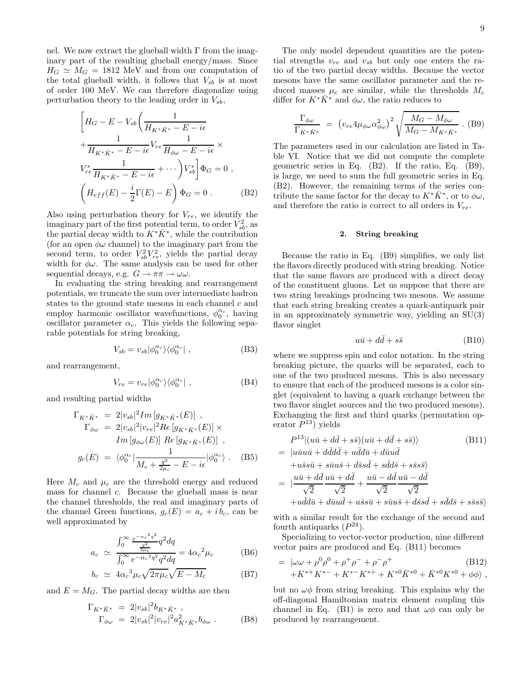nel. We now extract the glueball width Γ from the imaginary part of the resulting glueball energy/mass. Since  $H_G \simeq M_G = 1812$  MeV and from our computation of the total glueball width, it follows that  $V_{sb}$  is at most of order 100 MeV. We can therefore diagonalize using perturbation theory to the leading order in  $V_{sb}$ ,

$$
\left[H_G - E - V_{sb}\left(\frac{1}{H_{K^*\bar{K}^*} - E - i\epsilon}\right) + \frac{1}{H_{K^*\bar{K}^*} - E - i\epsilon}V_{re}\frac{1}{H_{\phi\omega} - E - i\epsilon}\right] \times
$$
\n
$$
V_{re}^* \frac{1}{H_{K^*\bar{K}^*} - E - i\epsilon} + \cdots \left)V_{sb}^*\right] \Phi_G = 0,
$$
\n
$$
\left(H_{eff}(E) - \frac{i}{2}\Gamma(E) - E\right) \Phi_G = 0.
$$
\n(B2)

Also using perturbation theory for  $V_{re}$ , we identify the imaginary part of the first potential term, to order  $V_{sb}^2$ , as the partial decay width to  $K^*\bar{K}^*$ , while the contribution (for an open  $\phi\omega$  channel) to the imaginary part from the second term, to order  $V_{sb}^2 V_{re}^2$ , yields the partial decay width for  $\phi\omega$ . The same analysis can be used for other sequential decays, e.g.  $G \to \pi\pi \to \omega\omega$ .

In evaluating the string breaking and rearrangement potentials, we truncate the sum over intermediate hadron states to the ground state mesons in each channel  $c$  and employ harmonic oscillator wavefunctions,  $\phi_0^{\alpha_c}$ , having oscillator parameter  $\alpha_c$ . This yields the following separable potentials for string breaking,

$$
V_{sb} = v_{sb} |\phi_0^{\alpha_c}\rangle\langle\phi_0^{\alpha_c}| \ , \tag{B3}
$$

and rearrangement,

$$
V_{re} = v_{re} |\phi_0^{\alpha_c}\rangle\langle\phi_0^{\alpha_c}| \ , \tag{B4}
$$

and resulting partial widths

$$
\Gamma_{K^*\bar{K}^*} = 2|v_{sb}|^2 Im[g_{K^*\bar{K}^*}(E)] ,
$$
  
\n
$$
\Gamma_{\phi\omega} = 2|v_{sb}|^2|v_{re}|^2 Re[g_{K^*\bar{K}^*}(E)] \times
$$
  
\n
$$
Im[g_{\phi\omega}(E)] Re[g_{K^*\bar{K}^*}(E)] ,
$$
  
\n
$$
g_c(E) = \langle \phi_0^{\alpha_c} | \frac{1}{M_c + \frac{q^2}{2\mu_c} - E - i\epsilon} | \phi_0^{\alpha_c} \rangle .
$$
 (B5)

Here  $M_c$  and  $\mu_c$  are the threshold energy and reduced mass for channel c. Because the glueball mass is near the channel thresholds, the real and imaginary parts of the channel Green functions,  $g_c(E) = a_c + ib_c$ , can be well approximated by

$$
a_c \simeq \frac{\int_0^\infty \frac{e^{-\alpha_c^2 q^2}}{q^2} q^2 dq}{\int_0^\infty e^{-\alpha_c^2 q^2} q^2 dq} = 4\alpha_c^2 \mu_c
$$
 (B6)

$$
b_c \simeq 4\alpha_c^3 \mu_c \sqrt{2\pi\mu_c} \sqrt{E - M_c}
$$
 (B7)

and  $E = M_G$ . The partial decay widths are then

$$
\Gamma_{K^*\bar{K}^*} = 2|v_{sb}|^2 b_{K^*\bar{K}^*} ,
$$
  
\n
$$
\Gamma_{\phi\omega} = 2|v_{sb}|^2 |v_{re}|^2 a_{K^*\bar{K}^*}^2 b_{\phi\omega} .
$$
 (B8)

The only model dependent quantities are the potential strengths  $v_{re}$  and  $v_{sb}$  but only one enters the ratio of the two partial decay widths. Because the vector mesons have the same oscillator parameter and the reduced masses  $\mu_c$  are similar, while the thresholds  $M_c$ differ for  $K^*K^*$  and  $\phi\omega$ , the ratio reduces to

$$
\frac{\Gamma_{\phi\omega}}{\Gamma_{K^*K^*}} = (v_{re}4\mu_{\phi\omega}\alpha_{\phi\omega}^2)^2 \sqrt{\frac{M_G - M_{\phi\omega}}{M_G - M_{K^*K^*}}}. (B9)
$$

The parameters used in our calculation are listed in Table VI. Notice that we did not compute the complete geometric series in Eq. (B2). If the ratio, Eq. (B9), is large, we need to sum the full geometric series in Eq. (B2). However, the remaining terms of the series contribute the same factor for the decay to  $K^*\bar{K}^*$ , or to  $\phi\omega$ , and therefore the ratio is correct to all orders in  $V_{re}$ .

# 2. String breaking

Because the ratio in Eq. (B9) simplifies, we only list the flavors directly produced with string breaking. Notice that the same flavors are produced with a direct decay of the constituent gluons. Let us suppose that there are two string breakings producing two mesons. We assume that each string breaking creates a quark-antiquark pair in an approximately symmetric way, yielding an SU(3) flavor singlet

$$
u\bar{u} + d\bar{d} + s\bar{s} \tag{B10}
$$

where we suppress spin and color notation. In the string breaking picture, the quarks will be separated, each to one of the two produced mesons. This is also necessary to ensure that each of the produced mesons is a color singlet (equivalent to having a quark exchange between the two flavor singlet sources and the two produced mesons). Exchanging the first and third quarks (permutation operator  $P^{13}$ ) yields

$$
P^{13} | (u\bar{u} + d\bar{d} + s\bar{s}) (u\bar{u} + d\bar{d} + s\bar{s}) \rangle
$$
 (B11)  
= |u\bar{u}u\bar{u} + d\bar{d}d\bar{d} + u\bar{d}d\bar{u} + d\bar{u}u\bar{d}  
+u\bar{s}s\bar{u} + s\bar{u}u\bar{s} + d\bar{s}s\bar{d} + s\bar{d}d\bar{s} + s\bar{s}s\bar{s} \rangle  
= | \frac{u\bar{u} + d\bar{d}}{\sqrt{2}} \frac{u\bar{u} + d\bar{d}}{\sqrt{2}} + \frac{u\bar{u} - d\bar{d}}{\sqrt{2}} \frac{u\bar{u} - d\bar{d}}{\sqrt{2}}   
+ u\bar{d}d\bar{u} + d\bar{u}u\bar{d} + u\bar{s}s\bar{u} + s\bar{u}u\bar{s} + d\bar{s}s\bar{d} + s\bar{d}d\bar{s} + s\bar{s}s\bar{s} \rangle

with a similar result for the exchange of the second and fourth antiquarks  $(P^{24})$ .

Specializing to vector-vector production, nine different vector pairs are produced and Eq. (B11) becomes

= 
$$
|\omega\omega + \rho^0\rho^0 + \rho^+\rho^- + \rho^-\rho^+
$$
 (B12)  
+ $K^{*+}K^{*-} + K^{*-}K^{*+} + K^{*0}\bar{K}^{*0} + \bar{K}^{*0}K^{*0} + \phi\phi$ ,

but no  $\omega\phi$  from string breaking. This explains why the off-diagonal Hamiltonian matrix element coupling this channel in Eq. (B1) is zero and that  $\omega\phi$  can only be produced by rearrangement.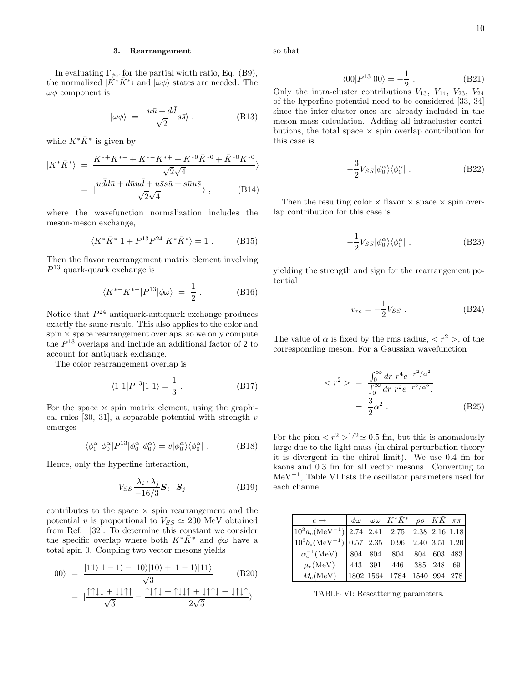## 3. Rearrangement

In evaluating  $\Gamma_{\phi\omega}$  for the partial width ratio, Eq. (B9), the normalized  $|K^*\bar{K}^*\rangle$  and  $|\omega\phi\rangle$  states are needed. The  $\omega\phi$  component is

$$
|\omega \phi \rangle = |\frac{u\bar{u} + d\bar{d}}{\sqrt{2}} s\bar{s} \rangle , \qquad (B13)
$$

while  $K^*\bar{K}^*$  is given by

$$
|K^*\bar{K}^*\rangle = |\frac{K^{*+}K^{*-} + K^{*-}K^{*+} + K^{*0}\bar{K}^{*0} + \bar{K}^{*0}K^{*0}}{\sqrt{2}\sqrt{4}}\rangle
$$
  
= 
$$
|\frac{u\bar{d}d\bar{u} + d\bar{u}u\bar{d} + u\bar{s}s\bar{u} + s\bar{u}u\bar{s}}{\sqrt{2}\sqrt{4}}\rangle, \qquad (B14)
$$

where the wavefunction normalization includes the meson-meson exchange,

$$
\langle K^* \bar{K}^* | 1 + P^{13} P^{24} | K^* \bar{K}^* \rangle = 1 . \tag{B15}
$$

Then the flavor rearrangement matrix element involving  $P^{13}$  quark-quark exchange is

$$
\langle K^{*+}K^{*-}|P^{13}|\phi\omega\rangle = \frac{1}{2}.
$$
 (B16)

Notice that  $P^{24}$  antiquark-antiquark exchange produces exactly the same result. This also applies to the color and  $spin \times space$  rearrangement overlaps, so we only compute the  $P^{13}$  overlaps and include an additional factor of 2 to account for antiquark exchange.

The color rearrangement overlap is

$$
\langle 1 \ 1 | P^{13} | 1 \ 1 \rangle = \frac{1}{3} \ . \tag{B17}
$$

For the space  $\times$  spin matrix element, using the graphical rules [30, 31], a separable potential with strength  $v$ emerges

$$
\langle \phi_0^{\alpha} \phi_0^{\alpha} | P^{13} | \phi_0^{\alpha} \phi_0^{\alpha} \rangle = v | \phi_0^{\alpha} \rangle \langle \phi_0^{\alpha} | .
$$
 (B18)

Hence, only the hyperfine interaction,

$$
V_{SS} \frac{\lambda_i \cdot \lambda_j}{-16/3} \mathbf{S}_i \cdot \mathbf{S}_j
$$
 (B19)

contributes to the space  $\times$  spin rearrangement and the potential v is proportional to  $V_{SS} \simeq 200$  MeV obtained from Ref. [32]. To determine this constant we consider the specific overlap where both  $K^*\bar{K}^*$  and  $\phi\omega$  have a total spin 0. Coupling two vector mesons yields

$$
|00\rangle = \frac{|11\rangle|1-1\rangle - |10\rangle|10\rangle + |1-1\rangle|11\rangle}{\sqrt{3}} \tag{B20}
$$

$$
= | \frac{1111 + 1111}{\sqrt{3}} - \frac{1111 + 1111 + 1111 + 1111}{2\sqrt{3}} \rangle
$$

so that

$$
\langle 00|P^{13}|00\rangle = -\frac{1}{2} . \tag{B21}
$$

Only the intra-cluster contributions  $V_{13}$ ,  $V_{14}$ ,  $V_{23}$ ,  $V_{24}$ of the hyperfine potential need to be considered [33, 34] since the inter-cluster ones are already included in the meson mass calculation. Adding all intracluster contributions, the total space  $\times$  spin overlap contribution for this case is

$$
-\frac{3}{2}V_{SS}|\phi_0^{\alpha}\rangle\langle\phi_0^{\alpha}|.
$$
 (B22)

Then the resulting color  $\times$  flavor  $\times$  space  $\times$  spin overlap contribution for this case is

$$
-\frac{1}{2}V_{SS}|\phi_0^{\alpha}\rangle\langle\phi_0^{\alpha}| \ , \tag{B23}
$$

yielding the strength and sign for the rearrangement potential

$$
v_{re} = -\frac{1}{2}V_{SS} . \t\t(B24)
$$

The value of  $\alpha$  is fixed by the rms radius,  $\langle r^2 \rangle$ , of the corresponding meson. For a Gaussian wavefunction

$$
\langle r^2 \rangle = \frac{\int_0^\infty dr \ r^4 e^{-r^2/\alpha^2}}{\int_0^\infty dr \ r^2 e^{-r^2/\alpha^2}} = \frac{3}{2} \alpha^2 \ . \tag{B25}
$$

For the pion  $\langle r^2 \rangle^{1/2} \simeq 0.5$  fm, but this is anomalously large due to the light mass (in chiral perturbation theory it is divergent in the chiral limit). We use 0.4 fm for kaons and 0.3 fm for all vector mesons. Converting to MeV−<sup>1</sup> , Table VI lists the oscillator parameters used for each channel.

| $c \rightarrow$                                     |  | $\left \begin{array}{cc}\phi\omega & \omega\omega & K^*{\bar K}^* & \rho\rho & K{\bar K} & \pi\pi\end{array}\right $ |  |  |
|-----------------------------------------------------|--|----------------------------------------------------------------------------------------------------------------------|--|--|
| $10^3 a_c (MeV^{-1})$ 2.74 2.41 2.75 2.38 2.16 1.18 |  |                                                                                                                      |  |  |
| $10^3 b_c (MeV^{-1})$ 0.57 2.35 0.96 2.40 3.51 1.20 |  |                                                                                                                      |  |  |
| $\alpha_c^{-1}$ (MeV)   804 804 804 804 603 483     |  |                                                                                                                      |  |  |
| $\mu_c(MeV)$                                        |  | 443 391 446 385 248 69                                                                                               |  |  |
| $M_{\rm c}({\rm MeV})$                              |  | 1802 1564 1784 1540 994 278                                                                                          |  |  |

TABLE VI: Rescattering parameters.